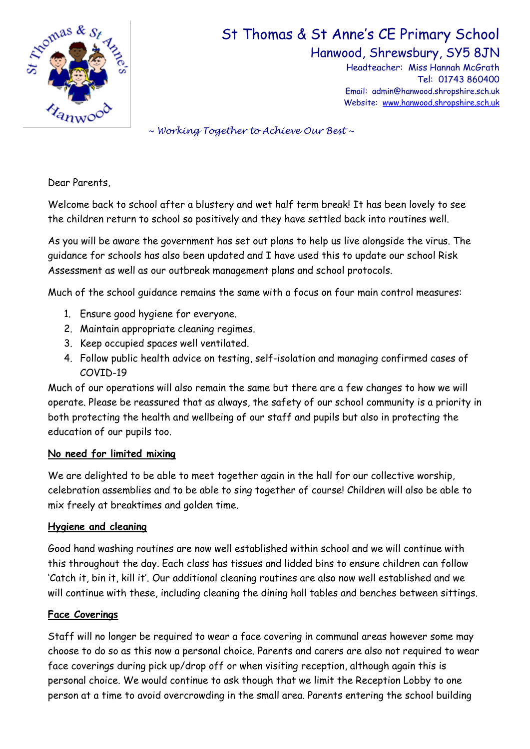

# St Thomas & St Anne's CE Primary School

Hanwood, Shrewsbury, SY5 8JN

Headteacher: Miss Hannah McGrath Tel: 01743 860400 Email: admin@hanwood.shropshire.sch.uk Website: [www.hanwood.shropshire.sch.uk](http://www.hanwood.shropshire.sch.uk/)

*~ Working Together to Achieve Our Best ~*

Dear Parents,

Welcome back to school after a blustery and wet half term break! It has been lovely to see the children return to school so positively and they have settled back into routines well.

As you will be aware the government has set out plans to help us live alongside the virus. The guidance for schools has also been updated and I have used this to update our school Risk Assessment as well as our outbreak management plans and school protocols.

Much of the school guidance remains the same with a focus on four main control measures:

- 1. Ensure good hygiene for everyone.
- 2. Maintain appropriate cleaning regimes.
- 3. Keep occupied spaces well ventilated.
- 4. Follow public health advice on testing, self-isolation and managing confirmed cases of COVID-19

Much of our operations will also remain the same but there are a few changes to how we will operate. Please be reassured that as always, the safety of our school community is a priority in both protecting the health and wellbeing of our staff and pupils but also in protecting the education of our pupils too.

#### **No need for limited mixing**

We are delighted to be able to meet together again in the hall for our collective worship, celebration assemblies and to be able to sing together of course! Children will also be able to mix freely at breaktimes and golden time.

#### **Hygiene and cleaning**

Good hand washing routines are now well established within school and we will continue with this throughout the day. Each class has tissues and lidded bins to ensure children can follow 'Catch it, bin it, kill it'. Our additional cleaning routines are also now well established and we will continue with these, including cleaning the dining hall tables and benches between sittings.

#### **Face Coverings**

Staff will no longer be required to wear a face covering in communal areas however some may choose to do so as this now a personal choice. Parents and carers are also not required to wear face coverings during pick up/drop off or when visiting reception, although again this is personal choice. We would continue to ask though that we limit the Reception Lobby to one person at a time to avoid overcrowding in the small area. Parents entering the school building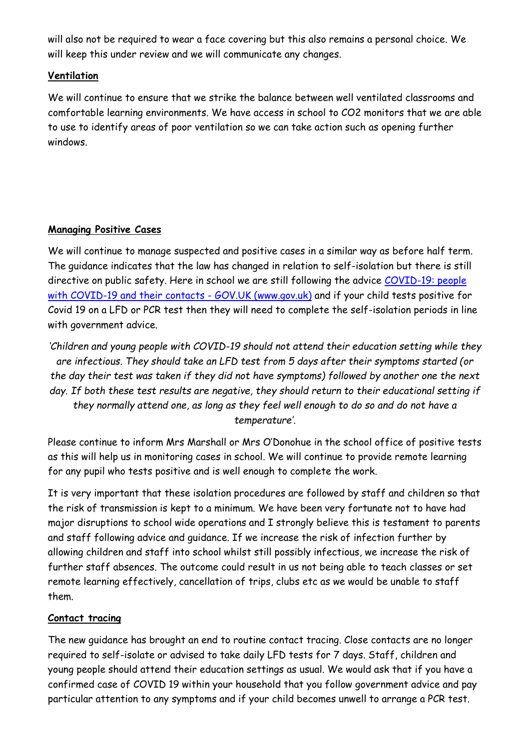will also not be required to wear a face covering but this also remains a personal choice. We will keep this under review and we will communicate any changes.

## **Ventilation**

We will continue to ensure that we strike the balance between well ventilated classrooms and comfortable learning environments. We have access in school to CO2 monitors that we are able to use to identify areas of poor ventilation so we can take action such as opening further windows.

### **Managing Positive Cases**

We will continue to manage suspected and positive cases in a similar way as before half term. The guidance indicates that the law has changed in relation to self-isolation but there is still directive on public safety. Here in school we are still following the advice [COVID-19: people](http://COVID-19:%20people%20with%20COVID-19%20and%20their%20contacts%20-%20GOV.UK%20(www.gov.uk))  [with COVID-19 and their contacts -](http://COVID-19:%20people%20with%20COVID-19%20and%20their%20contacts%20-%20GOV.UK%20(www.gov.uk)) GOV.UK (www.gov.uk) and if your child tests positive for Covid 19 on a LFD or PCR test then they will need to complete the self-isolation periods in line with government advice.

*'Children and young people with COVID-19 should not attend their education setting while they are infectious. They should take an LFD test from 5 days after their symptoms started (or the day their test was taken if they did not have symptoms) followed by another one the next*  day. If both these test results are negative, they should return to their educational setting if *they normally attend one, as long as they feel well enough to do so and do not have a temperature'.*

Please continue to inform Mrs Marshall or Mrs O'Donohue in the school office of positive tests as this will help us in monitoring cases in school. We will continue to provide remote learning for any pupil who tests positive and is well enough to complete the work.

It is very important that these isolation procedures are followed by staff and children so that the risk of transmission is kept to a minimum. We have been very fortunate not to have had major disruptions to school wide operations and I strongly believe this is testament to parents and staff following advice and guidance. If we increase the risk of infection further by allowing children and staff into school whilst still possibly infectious, we increase the risk of further staff absences. The outcome could result in us not being able to teach classes or set remote learning effectively, cancellation of trips, clubs etc as we would be unable to staff them.

#### **Contact tracing**

The new guidance has brought an end to routine contact tracing. Close contacts are no longer required to self-isolate or advised to take daily LFD tests for 7 days. Staff, children and young people should attend their education settings as usual. We would ask that if you have a confirmed case of COVID 19 within your household that you follow government advice and pay particular attention to any symptoms and if your child becomes unwell to arrange a PCR test.